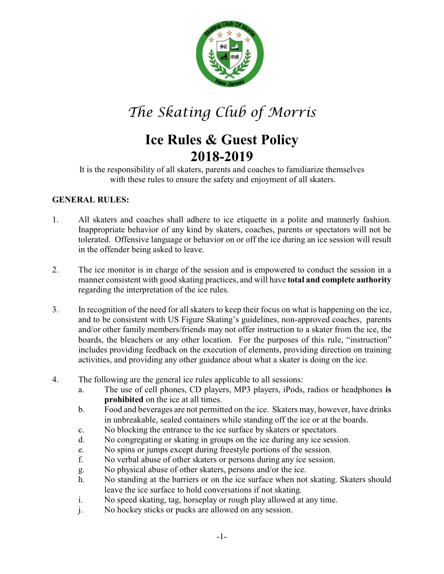

*The Skating Club of Morris*

# **Ice Rules & Guest Policy 2018-2019**

It is the responsibility of all skaters, parents and coaches to familiarize themselves with these rules to ensure the safety and enjoyment of all skaters.

## **GENERAL RULES:**

- 1. All skaters and coaches shall adhere to ice etiquette in a polite and mannerly fashion. Inappropriate behavior of any kind by skaters, coaches, parents or spectators will not be tolerated. Offensive language or behavior on or off the ice during an ice session will result in the offender being asked to leave.
- 2. The ice monitor is in charge of the session and is empowered to conduct the session in a manner consistent with good skating practices, and will have **total and complete authority** regarding the interpretation of the ice rules.
- 3. In recognition of the need for all skaters to keep their focus on what is happening on the ice, and to be consistent with US Figure Skating's guidelines, non-approved coaches, parents and/or other family members/friends may not offer instruction to a skater from the ice, the boards, the bleachers or any other location. For the purposes of this rule, "instruction" includes providing feedback on the execution of elements, providing direction on training activities, and providing any other guidance about what a skater is doing on the ice.
- 4. The following are the general ice rules applicable to all sessions:
	- a. The use of cell phones, CD players, MP3 players, iPods, radios or headphones **is prohibited** on the ice at all times.
	- b. Food and beverages are not permitted on the ice. Skaters may, however, have drinks in unbreakable, sealed containers while standing off the ice or at the boards.
	- c. No blocking the entrance to the ice surface by skaters or spectators.
	- d. No congregating or skating in groups on the ice during any ice session.
	- e. No spins or jumps except during freestyle portions of the session.
	- f. No verbal abuse of other skaters or persons during any ice session.
	- g. No physical abuse of other skaters, persons and/or the ice.
	- h. No standing at the barriers or on the ice surface when not skating. Skaters should leave the ice surface to hold conversations if not skating.
	- i. No speed skating, tag, horseplay or rough play allowed at any time.
	- j. No hockey sticks or pucks are allowed on any session.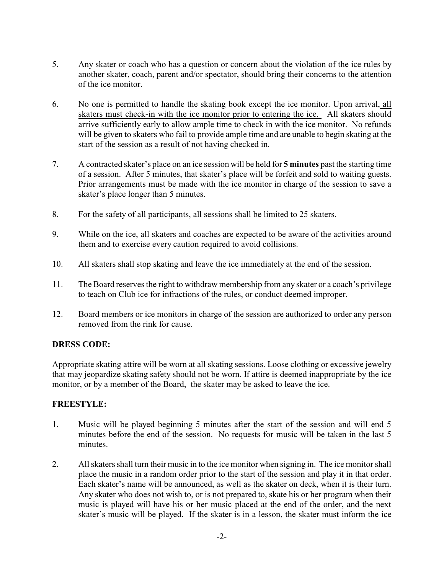- 5. Any skater or coach who has a question or concern about the violation of the ice rules by another skater, coach, parent and/or spectator, should bring their concerns to the attention of the ice monitor.
- 6. No one is permitted to handle the skating book except the ice monitor. Upon arrival, all skaters must check-in with the ice monitor prior to entering the ice. All skaters should arrive sufficiently early to allow ample time to check in with the ice monitor. No refunds will be given to skaters who fail to provide ample time and are unable to begin skating at the start of the session as a result of not having checked in.
- 7. A contracted skater's place on an ice session will be held for **5 minutes** past the starting time of a session. After 5 minutes, that skater's place will be forfeit and sold to waiting guests. Prior arrangements must be made with the ice monitor in charge of the session to save a skater's place longer than 5 minutes.
- 8. For the safety of all participants, all sessions shall be limited to 25 skaters.
- 9. While on the ice, all skaters and coaches are expected to be aware of the activities around them and to exercise every caution required to avoid collisions.
- 10. All skaters shall stop skating and leave the ice immediately at the end of the session.
- 11. The Board reserves the right to withdraw membership from any skater or a coach's privilege to teach on Club ice for infractions of the rules, or conduct deemed improper.
- 12. Board members or ice monitors in charge of the session are authorized to order any person removed from the rink for cause.

## **DRESS CODE:**

Appropriate skating attire will be worn at all skating sessions. Loose clothing or excessive jewelry that may jeopardize skating safety should not be worn. If attire is deemed inappropriate by the ice monitor, or by a member of the Board, the skater may be asked to leave the ice.

#### **FREESTYLE:**

- 1. Music will be played beginning 5 minutes after the start of the session and will end 5 minutes before the end of the session. No requests for music will be taken in the last 5 minutes.
- 2. All skaters shall turn their music in to the ice monitor when signing in. The ice monitor shall place the music in a random order prior to the start of the session and play it in that order. Each skater's name will be announced, as well as the skater on deck, when it is their turn. Any skater who does not wish to, or is not prepared to, skate his or her program when their music is played will have his or her music placed at the end of the order, and the next skater's music will be played. If the skater is in a lesson, the skater must inform the ice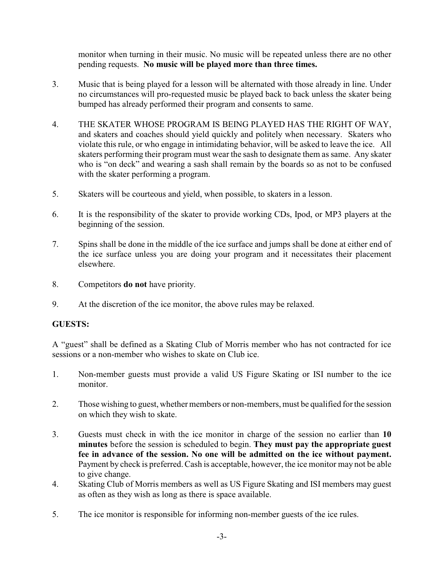monitor when turning in their music. No music will be repeated unless there are no other pending requests. **No music will be played more than three times.**

- 3. Music that is being played for a lesson will be alternated with those already in line. Under no circumstances will pro-requested music be played back to back unless the skater being bumped has already performed their program and consents to same.
- 4. THE SKATER WHOSE PROGRAM IS BEING PLAYED HAS THE RIGHT OF WAY, and skaters and coaches should yield quickly and politely when necessary. Skaters who violate this rule, or who engage in intimidating behavior, will be asked to leave the ice. All skaters performing their program must wear the sash to designate them as same. Any skater who is "on deck" and wearing a sash shall remain by the boards so as not to be confused with the skater performing a program.
- 5. Skaters will be courteous and yield, when possible, to skaters in a lesson.
- 6. It is the responsibility of the skater to provide working CDs, Ipod, or MP3 players at the beginning of the session.
- 7. Spins shall be done in the middle of the ice surface and jumps shall be done at either end of the ice surface unless you are doing your program and it necessitates their placement elsewhere.
- 8. Competitors **do not** have priority.
- 9. At the discretion of the ice monitor, the above rules may be relaxed.

## **GUESTS:**

A "guest" shall be defined as a Skating Club of Morris member who has not contracted for ice sessions or a non-member who wishes to skate on Club ice.

- 1. Non-member guests must provide a valid US Figure Skating or ISI number to the ice monitor.
- 2. Those wishing to guest, whether members or non-members, must be qualified for the session on which they wish to skate.
- 3. Guests must check in with the ice monitor in charge of the session no earlier than **10 minutes** before the session is scheduled to begin. **They must pay the appropriate guest fee in advance of the session. No one will be admitted on the ice without payment.** Payment by check is preferred. Cash is acceptable, however, the ice monitor may not be able to give change.
- 4. Skating Club of Morris members as well as US Figure Skating and ISI members may guest as often as they wish as long as there is space available.
- 5. The ice monitor is responsible for informing non-member guests of the ice rules.